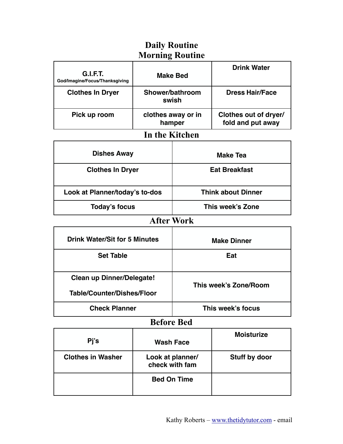### **Daily Routine Morning Routine**

| <b>G.I.F.T.</b><br>God/Imagine/Focus/Thanksgiving | <b>Make Bed</b>              | <b>Drink Water</b>                         |
|---------------------------------------------------|------------------------------|--------------------------------------------|
| <b>Clothes In Dryer</b>                           | Shower/bathroom<br>swish     | <b>Dress Hair/Face</b>                     |
| Pick up room                                      | clothes away or in<br>hamper | Clothes out of dryer/<br>fold and put away |

# **In the Kitchen**

| <b>Dishes Away</b>             | <b>Make Tea</b>           |
|--------------------------------|---------------------------|
| <b>Clothes In Dryer</b>        | <b>Eat Breakfast</b>      |
| Look at Planner/today's to-dos | <b>Think about Dinner</b> |
| Today's focus                  | This week's Zone          |

#### **After Work**

| <b>Drink Water/Sit for 5 Minutes</b>                           | <b>Make Dinner</b>    |
|----------------------------------------------------------------|-----------------------|
| <b>Set Table</b>                                               | Eat                   |
| <b>Clean up Dinner/Delegate!</b><br>Table/Counter/Dishes/Floor | This week's Zone/Room |
|                                                                |                       |
| <b>Check Planner</b>                                           | This week's focus     |

#### **Before Bed**

| Pj's                     | <b>Wash Face</b>                   | <b>Moisturize</b> |
|--------------------------|------------------------------------|-------------------|
| <b>Clothes in Washer</b> | Look at planner/<br>check with fam | Stuff by door     |
|                          | <b>Bed On Time</b>                 |                   |

٦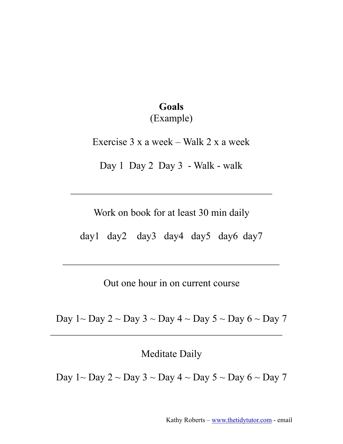## **Goals** (Example)

Exercise 3 x a week – Walk 2 x a week

Day 1 Day 2 Day 3 - Walk - walk

Work on book for at least 30 min daily

 $\mathcal{L}_\text{max}$  , and the contract of the contract of the contract of the contract of the contract of the contract of the contract of the contract of the contract of the contract of the contract of the contract of the contr

day1 day2 day3 day4 day5 day6 day7

 $\overline{\phantom{a}}$  ,  $\overline{\phantom{a}}$  ,  $\overline{\phantom{a}}$  ,  $\overline{\phantom{a}}$  ,  $\overline{\phantom{a}}$  ,  $\overline{\phantom{a}}$  ,  $\overline{\phantom{a}}$  ,  $\overline{\phantom{a}}$  ,  $\overline{\phantom{a}}$  ,  $\overline{\phantom{a}}$  ,  $\overline{\phantom{a}}$  ,  $\overline{\phantom{a}}$  ,  $\overline{\phantom{a}}$  ,  $\overline{\phantom{a}}$  ,  $\overline{\phantom{a}}$  ,  $\overline{\phantom{a}}$ 

Out one hour in on current course

Day  $1 \sim$  Day  $2 \sim$  Day  $3 \sim$  Day  $4 \sim$  Day  $5 \sim$  Day  $6 \sim$  Day  $7$ 

 $\mathcal{L}_\text{max}$  , and the contract of the contract of the contract of the contract of the contract of the contract of the contract of the contract of the contract of the contract of the contract of the contract of the contr

Meditate Daily

Day  $1 \sim$  Day  $2 \sim$  Day  $3 \sim$  Day  $4 \sim$  Day  $5 \sim$  Day  $6 \sim$  Day  $7$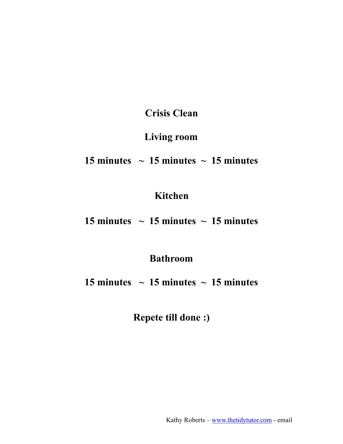**Crisis Clean**

### **Living room**

### 15 minutes  $\sim$  15 minutes  $\sim$  15 minutes

### **Kitchen**

**15 minutes**  $\sim$  **15 minutes**  $\sim$  **15 minutes** 

**Bathroom**

**15 minutes**  $\sim$  **15 minutes**  $\sim$  **15 minutes** 

**Repete till done :)**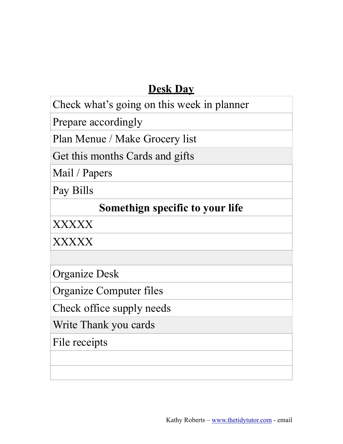## **Desk Day**

Check what's going on this week in planner

Prepare accordingly

Plan Menue / Make Grocery list

Get this months Cards and gifts

Mail / Papers

Pay Bills

## **Somethign specific to your life**

XXXXX

XXXXX

Organize Desk

Organize Computer files

Check office supply needs

Write Thank you cards

File receipts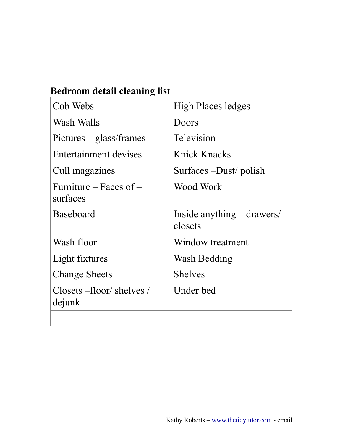## **Bedroom detail cleaning list**

| Cob Webs                                          | <b>High Places ledges</b>               |
|---------------------------------------------------|-----------------------------------------|
| Wash Walls                                        | Doors                                   |
| Pictures – glass/frames                           | Television                              |
| Entertainment devises                             | Knick Knacks                            |
| Cull magazines                                    | Surfaces –Dust/ polish                  |
| Furniture – Faces of –<br>surfaces                | Wood Work                               |
| <b>Baseboard</b>                                  | Inside anything $-$ drawers/<br>closets |
| Wash floor                                        | Window treatment                        |
| Light fixtures                                    | Wash Bedding                            |
| <b>Change Sheets</b>                              | <b>Shelves</b>                          |
| $\text{Closets} - \text{floor/shelves}$<br>dejunk | Under bed                               |
|                                                   |                                         |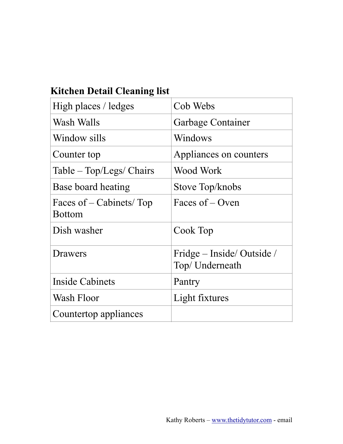## **Kitchen Detail Cleaning list**

| High places / ledges                     | Cob Webs                                     |
|------------------------------------------|----------------------------------------------|
| Wash Walls                               | Garbage Container                            |
| Window sills                             | Windows                                      |
| Counter top                              | Appliances on counters                       |
| Table – Top/Legs/ Chairs                 | Wood Work                                    |
| Base board heating                       | Stove Top/knobs                              |
| Faces of – Cabinets/Top<br><b>Bottom</b> | Faces of – Oven                              |
| Dish washer                              | Cook Top                                     |
| Drawers                                  | Fridge – Inside/Outside /<br>Top/ Underneath |
| Inside Cabinets                          | Pantry                                       |
| Wash Floor                               | Light fixtures                               |
| Countertop appliances                    |                                              |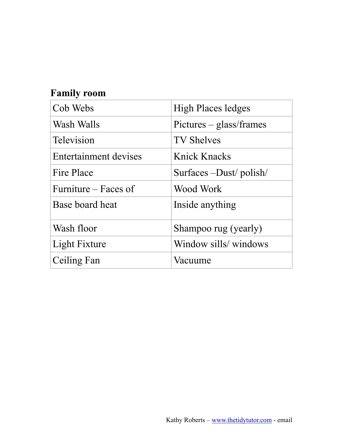## **Family room**

| Cob Webs                     | <b>High Places ledges</b> |
|------------------------------|---------------------------|
| Wash Walls                   | Pictures – glass/frames   |
| <b>Television</b>            | <b>TV Shelves</b>         |
| <b>Entertainment devises</b> | Knick Knacks              |
| Fire Place                   | Surfaces –Dust/polish/    |
| Furniture – Faces of         | Wood Work                 |
| Base board heat              | Inside anything           |
| Wash floor                   | Shampoo rug (yearly)      |
| Light Fixture                | Window sills/windows      |
| Ceiling Fan                  | Vacuume                   |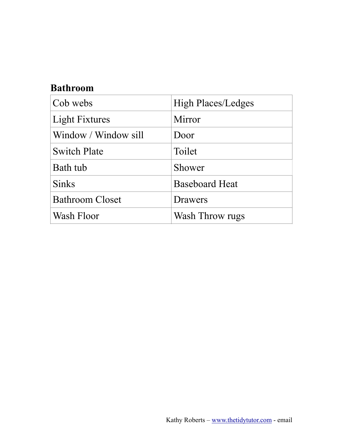## **Bathroom**

| Cob webs               | <b>High Places/Ledges</b> |
|------------------------|---------------------------|
| <b>Light Fixtures</b>  | Mirror                    |
| Window / Window sill   | Door                      |
| <b>Switch Plate</b>    | Toilet                    |
| Bath tub               | Shower                    |
| <b>Sinks</b>           | <b>Baseboard Heat</b>     |
| <b>Bathroom Closet</b> | Drawers                   |
| Wash Floor             | Wash Throw rugs           |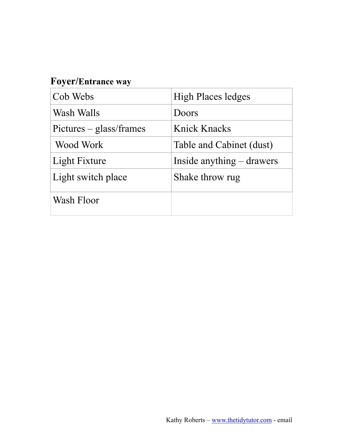## **Foyer/Entrance way**

| Cob Webs                | <b>High Places ledges</b>   |
|-------------------------|-----------------------------|
| Wash Walls              | Doors                       |
| Pictures – glass/frames | Knick Knacks                |
| Wood Work               | Table and Cabinet (dust)    |
| Light Fixture           | Inside anything $-$ drawers |
| Light switch place      | Shake throw rug             |
| Wash Floor              |                             |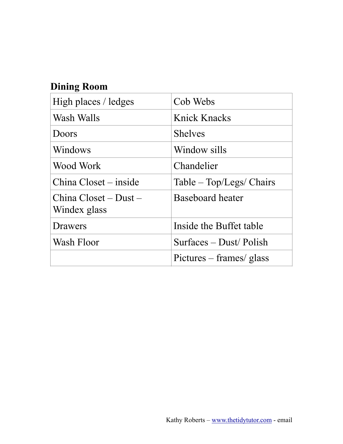## **Dining Room**

| High places / ledges                    | Cob Webs                 |
|-----------------------------------------|--------------------------|
| Wash Walls                              | Knick Knacks             |
| Doors                                   | <b>Shelves</b>           |
| Windows                                 | Window sills             |
| Wood Work                               | Chandelier               |
| China Closet – inside                   | Table – Top/Legs/ Chairs |
| $China Closed - Dust -$<br>Windex glass | <b>Baseboard heater</b>  |
| Drawers                                 | Inside the Buffet table  |
| Wash Floor                              | Surfaces – Dust/Polish   |
|                                         | Pictures – frames/ glass |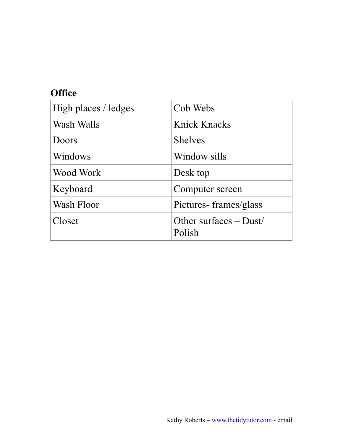### **Office**

| High places / ledges | Cob Webs                           |
|----------------------|------------------------------------|
| Wash Walls           | Knick Knacks                       |
| Doors                | <b>Shelves</b>                     |
| Windows              | Window sills                       |
| Wood Work            | Desk top                           |
| Keyboard             | Computer screen                    |
| Wash Floor           | Pictures-frames/glass              |
| Closet               | Other surfaces $-$ Dust/<br>Polish |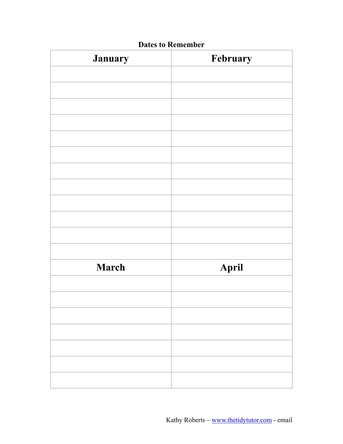| January      | February |
|--------------|----------|
|              |          |
|              |          |
|              |          |
|              |          |
|              |          |
|              |          |
|              |          |
|              |          |
|              |          |
|              |          |
|              |          |
|              |          |
| <b>March</b> | April    |
|              |          |
|              |          |
|              |          |
|              |          |
|              |          |
|              |          |
|              |          |

#### **Dates to Remember**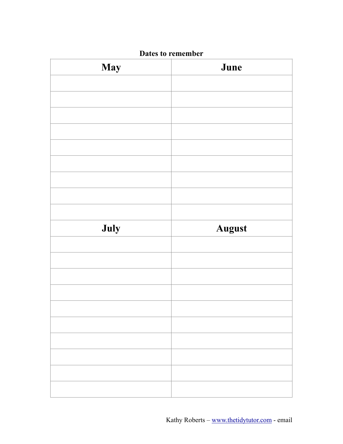| <b>May</b> | June          |
|------------|---------------|
|            |               |
|            |               |
|            |               |
|            |               |
|            |               |
|            |               |
|            |               |
|            |               |
|            |               |
| July       | <b>August</b> |
|            |               |
|            |               |
|            |               |
|            |               |
|            |               |
|            |               |
|            |               |
|            |               |
|            |               |
|            |               |

#### **Dates to remember**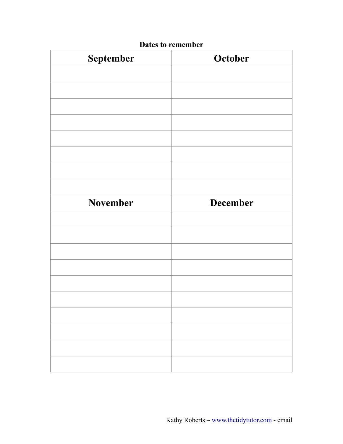| September | October         |
|-----------|-----------------|
|           |                 |
|           |                 |
|           |                 |
|           |                 |
|           |                 |
|           |                 |
|           |                 |
|           |                 |
| November  | <b>December</b> |
|           |                 |
|           |                 |
|           |                 |
|           |                 |
|           |                 |
|           |                 |
|           |                 |
|           |                 |
|           |                 |
|           |                 |
|           |                 |

#### **Dates to remember**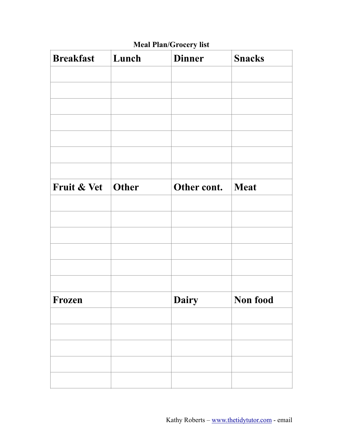### **Meal Plan/Grocery list**

| <b>Breakfast</b>    | Lunch | <b>Dinner</b> | <b>Snacks</b> |
|---------------------|-------|---------------|---------------|
|                     |       |               |               |
|                     |       |               |               |
|                     |       |               |               |
|                     |       |               |               |
|                     |       |               |               |
|                     |       |               |               |
|                     |       |               |               |
| Fruit & Vet   Other |       | Other cont.   | <b>Meat</b>   |
|                     |       |               |               |
|                     |       |               |               |
|                     |       |               |               |
|                     |       |               |               |
|                     |       |               |               |
|                     |       |               |               |
| Frozen              |       | Dairy         | Non food      |
|                     |       |               |               |
|                     |       |               |               |
|                     |       |               |               |
|                     |       |               |               |
|                     |       |               |               |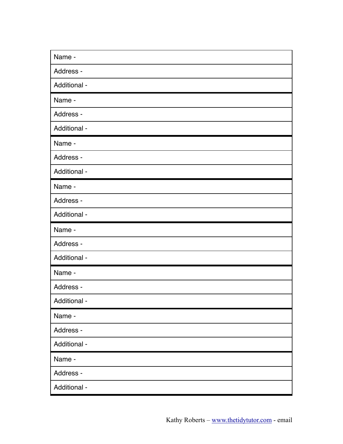| Name -       |
|--------------|
| Address -    |
| Additional - |
| Name -       |
| Address -    |
| Additional - |
| Name -       |
| Address -    |
| Additional - |
| Name -       |
| Address -    |
| Additional - |
| Name -       |
| Address -    |
| Additional - |
| Name -       |
| Address -    |
| Additional - |
| Name -       |
| Address -    |
| Additional - |
| Name -       |
| Address -    |
|              |